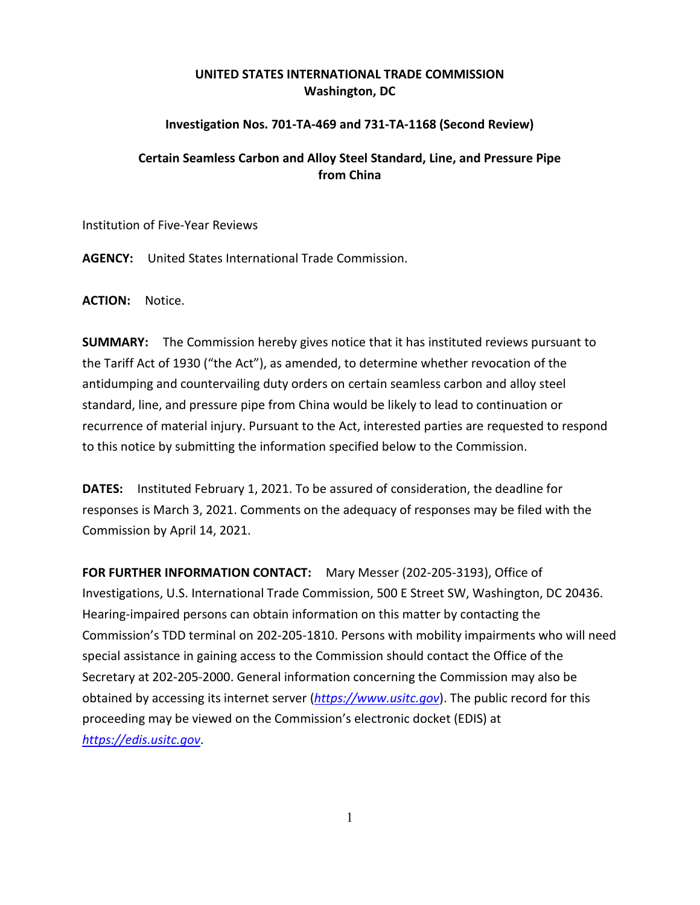## **UNITED STATES INTERNATIONAL TRADE COMMISSION Washington, DC**

## **Investigation Nos. 701-TA-469 and 731-TA-1168 (Second Review)**

## **Certain Seamless Carbon and Alloy Steel Standard, Line, and Pressure Pipe from China**

Institution of Five-Year Reviews

**AGENCY:** United States International Trade Commission.

**ACTION:** Notice.

**SUMMARY:** The Commission hereby gives notice that it has instituted reviews pursuant to the Tariff Act of 1930 ("the Act"), as amended, to determine whether revocation of the antidumping and countervailing duty orders on certain seamless carbon and alloy steel standard, line, and pressure pipe from China would be likely to lead to continuation or recurrence of material injury. Pursuant to the Act, interested parties are requested to respond to this notice by submitting the information specified below to the Commission.

**DATES:** Instituted February 1, 2021. To be assured of consideration, the deadline for responses is March 3, 2021. Comments on the adequacy of responses may be filed with the Commission by April 14, 2021.

**FOR FURTHER INFORMATION CONTACT:** Mary Messer (202-205-3193), Office of Investigations, U.S. International Trade Commission, 500 E Street SW, Washington, DC 20436. Hearing-impaired persons can obtain information on this matter by contacting the Commission's TDD terminal on 202-205-1810. Persons with mobility impairments who will need special assistance in gaining access to the Commission should contact the Office of the Secretary at 202-205-2000. General information concerning the Commission may also be obtained by accessing its internet server (*[https://www.usitc.gov](https://www.usitc.gov/)*). The public record for this proceeding may be viewed on the Commission's electronic docket (EDIS) at *[https://edis.usitc.gov](https://edis.usitc.gov/)*.

1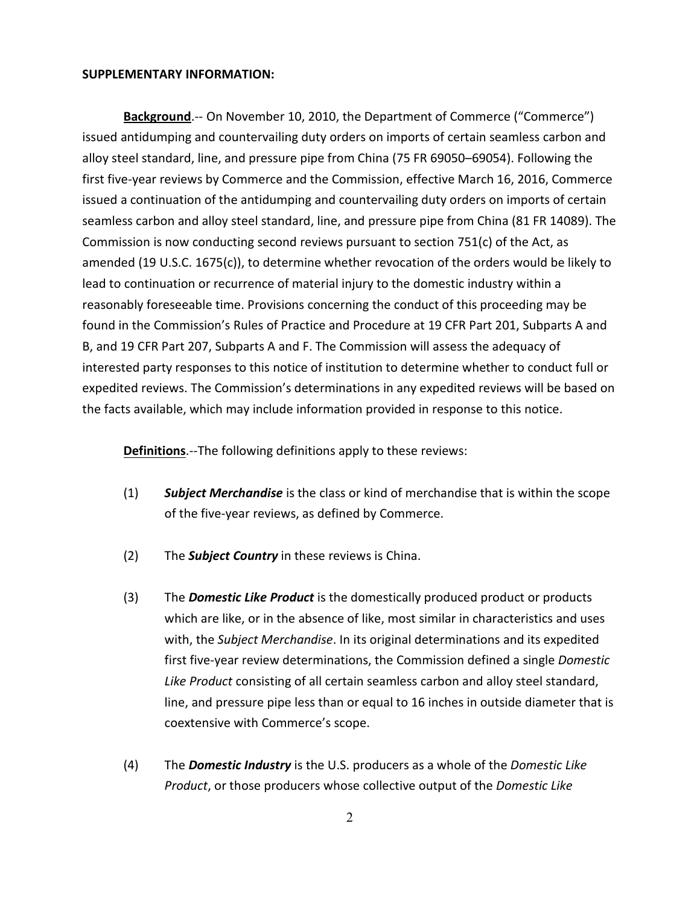## **SUPPLEMENTARY INFORMATION:**

**Background**.-- On November 10, 2010, the Department of Commerce ("Commerce") issued antidumping and countervailing duty orders on imports of certain seamless carbon and alloy steel standard, line, and pressure pipe from China (75 FR 69050–69054). Following the first five-year reviews by Commerce and the Commission, effective March 16, 2016, Commerce issued a continuation of the antidumping and countervailing duty orders on imports of certain seamless carbon and alloy steel standard, line, and pressure pipe from China (81 FR 14089). The Commission is now conducting second reviews pursuant to section  $751(c)$  of the Act, as amended (19 U.S.C. 1675(c)), to determine whether revocation of the orders would be likely to lead to continuation or recurrence of material injury to the domestic industry within a reasonably foreseeable time. Provisions concerning the conduct of this proceeding may be found in the Commission's Rules of Practice and Procedure at 19 CFR Part 201, Subparts A and B, and 19 CFR Part 207, Subparts A and F. The Commission will assess the adequacy of interested party responses to this notice of institution to determine whether to conduct full or expedited reviews. The Commission's determinations in any expedited reviews will be based on the facts available, which may include information provided in response to this notice.

**Definitions**.--The following definitions apply to these reviews:

- (1) *Subject Merchandise* is the class or kind of merchandise that is within the scope of the five-year reviews, as defined by Commerce.
- (2) The *Subject Country* in these reviews is China.
- (3) The *Domestic Like Product* is the domestically produced product or products which are like, or in the absence of like, most similar in characteristics and uses with, the *Subject Merchandise*. In its original determinations and its expedited first five-year review determinations, the Commission defined a single *Domestic Like Product* consisting of all certain seamless carbon and alloy steel standard, line, and pressure pipe less than or equal to 16 inches in outside diameter that is coextensive with Commerce's scope.
- (4) The *Domestic Industry* is the U.S. producers as a whole of the *Domestic Like Product*, or those producers whose collective output of the *Domestic Like*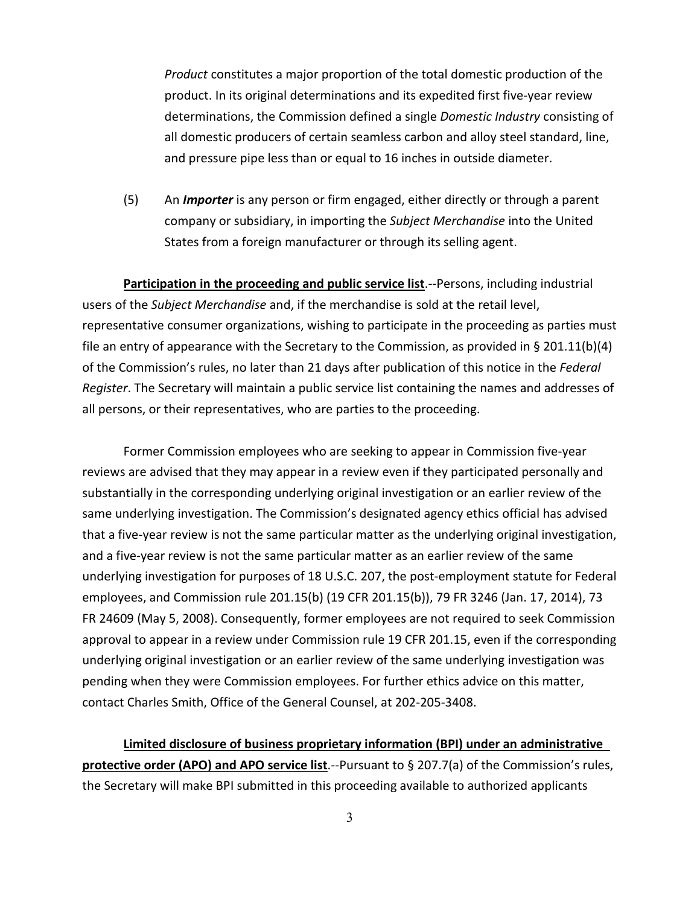*Product* constitutes a major proportion of the total domestic production of the product. In its original determinations and its expedited first five-year review determinations, the Commission defined a single *Domestic Industry* consisting of all domestic producers of certain seamless carbon and alloy steel standard, line, and pressure pipe less than or equal to 16 inches in outside diameter.

(5) An *Importer* is any person or firm engaged, either directly or through a parent company or subsidiary, in importing the *Subject Merchandise* into the United States from a foreign manufacturer or through its selling agent.

**Participation in the proceeding and public service list**.--Persons, including industrial users of the *Subject Merchandise* and, if the merchandise is sold at the retail level, representative consumer organizations, wishing to participate in the proceeding as parties must file an entry of appearance with the Secretary to the Commission, as provided in § 201.11(b)(4) of the Commission's rules, no later than 21 days after publication of this notice in the *Federal Register*. The Secretary will maintain a public service list containing the names and addresses of all persons, or their representatives, who are parties to the proceeding.

Former Commission employees who are seeking to appear in Commission five-year reviews are advised that they may appear in a review even if they participated personally and substantially in the corresponding underlying original investigation or an earlier review of the same underlying investigation. The Commission's designated agency ethics official has advised that a five-year review is not the same particular matter as the underlying original investigation, and a five-year review is not the same particular matter as an earlier review of the same underlying investigation for purposes of 18 U.S.C. 207, the post-employment statute for Federal employees, and Commission rule 201.15(b) (19 CFR 201.15(b)), 79 FR 3246 (Jan. 17, 2014), 73 FR 24609 (May 5, 2008). Consequently, former employees are not required to seek Commission approval to appear in a review under Commission rule 19 CFR 201.15, even if the corresponding underlying original investigation or an earlier review of the same underlying investigation was pending when they were Commission employees. For further ethics advice on this matter, contact Charles Smith, Office of the General Counsel, at 202-205-3408.

**Limited disclosure of business proprietary information (BPI) under an administrative protective order (APO) and APO service list**.--Pursuant to § 207.7(a) of the Commission's rules, the Secretary will make BPI submitted in this proceeding available to authorized applicants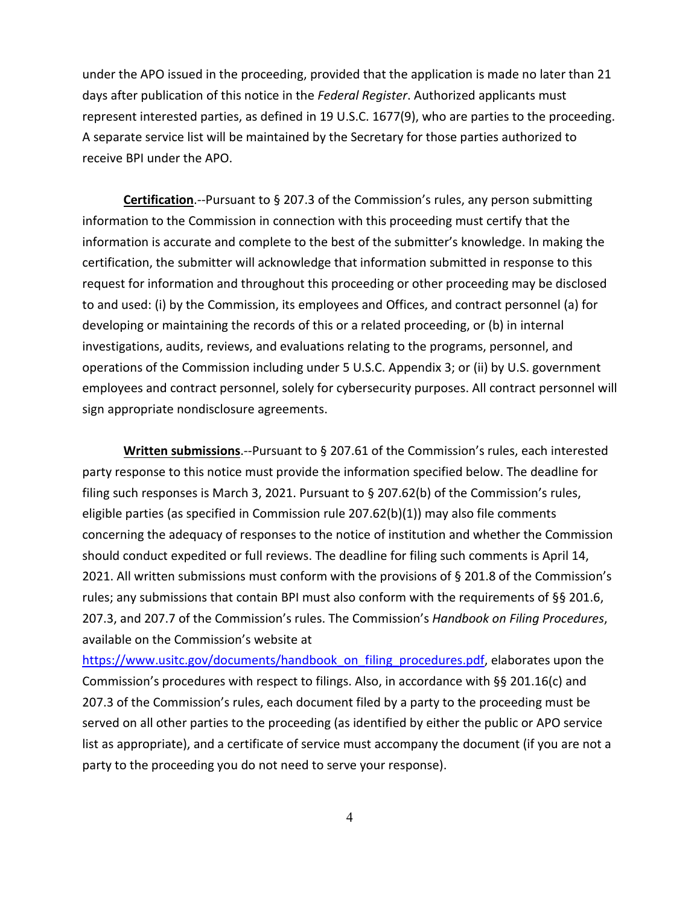under the APO issued in the proceeding, provided that the application is made no later than 21 days after publication of this notice in the *Federal Register*. Authorized applicants must represent interested parties, as defined in 19 U.S.C. 1677(9), who are parties to the proceeding. A separate service list will be maintained by the Secretary for those parties authorized to receive BPI under the APO.

**Certification**.--Pursuant to § 207.3 of the Commission's rules, any person submitting information to the Commission in connection with this proceeding must certify that the information is accurate and complete to the best of the submitter's knowledge. In making the certification, the submitter will acknowledge that information submitted in response to this request for information and throughout this proceeding or other proceeding may be disclosed to and used: (i) by the Commission, its employees and Offices, and contract personnel (a) for developing or maintaining the records of this or a related proceeding, or (b) in internal investigations, audits, reviews, and evaluations relating to the programs, personnel, and operations of the Commission including under 5 U.S.C. Appendix 3; or (ii) by U.S. government employees and contract personnel, solely for cybersecurity purposes. All contract personnel will sign appropriate nondisclosure agreements.

**Written submissions**.--Pursuant to § 207.61 of the Commission's rules, each interested party response to this notice must provide the information specified below. The deadline for filing such responses is March 3, 2021. Pursuant to § 207.62(b) of the Commission's rules, eligible parties (as specified in Commission rule 207.62(b)(1)) may also file comments concerning the adequacy of responses to the notice of institution and whether the Commission should conduct expedited or full reviews. The deadline for filing such comments is April 14, 2021. All written submissions must conform with the provisions of § 201.8 of the Commission's rules; any submissions that contain BPI must also conform with the requirements of §§ 201.6, 207.3, and 207.7 of the Commission's rules. The Commission's *Handbook on Filing Procedures*, available on the Commission's website at

[https://www.usitc.gov/documents/handbook\\_on\\_filing\\_procedures.pdf,](https://www.usitc.gov/documents/handbook_on_filing_procedures.pdf) elaborates upon the Commission's procedures with respect to filings. Also, in accordance with §§ 201.16(c) and 207.3 of the Commission's rules, each document filed by a party to the proceeding must be served on all other parties to the proceeding (as identified by either the public or APO service list as appropriate), and a certificate of service must accompany the document (if you are not a party to the proceeding you do not need to serve your response).

4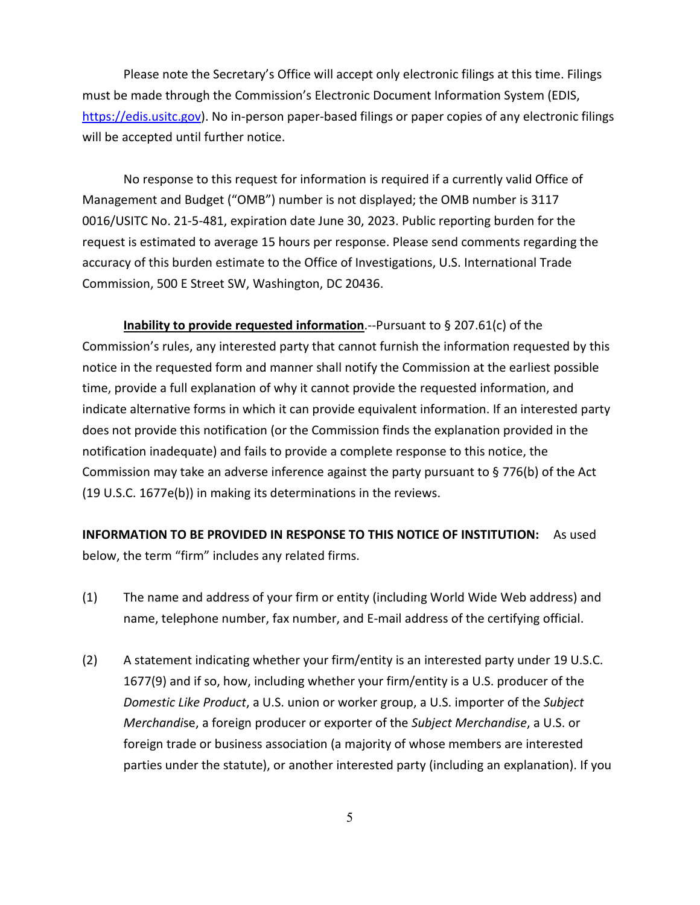Please note the Secretary's Office will accept only electronic filings at this time. Filings must be made through the Commission's Electronic Document Information System (EDIS, [https://edis.usitc.gov\)](https://edis.usitc.gov/). No in-person paper-based filings or paper copies of any electronic filings will be accepted until further notice.

No response to this request for information is required if a currently valid Office of Management and Budget ("OMB") number is not displayed; the OMB number is 3117 0016/USITC No. 21-5-481, expiration date June 30, 2023. Public reporting burden for the request is estimated to average 15 hours per response. Please send comments regarding the accuracy of this burden estimate to the Office of Investigations, U.S. International Trade Commission, 500 E Street SW, Washington, DC 20436.

**Inability to provide requested information**.--Pursuant to § 207.61(c) of the Commission's rules, any interested party that cannot furnish the information requested by this notice in the requested form and manner shall notify the Commission at the earliest possible time, provide a full explanation of why it cannot provide the requested information, and indicate alternative forms in which it can provide equivalent information. If an interested party does not provide this notification (or the Commission finds the explanation provided in the notification inadequate) and fails to provide a complete response to this notice, the Commission may take an adverse inference against the party pursuant to § 776(b) of the Act (19 U.S.C. 1677e(b)) in making its determinations in the reviews.

**INFORMATION TO BE PROVIDED IN RESPONSE TO THIS NOTICE OF INSTITUTION:** As used below, the term "firm" includes any related firms.

- (1) The name and address of your firm or entity (including World Wide Web address) and name, telephone number, fax number, and E-mail address of the certifying official.
- (2) A statement indicating whether your firm/entity is an interested party under 19 U.S.C. 1677(9) and if so, how, including whether your firm/entity is a U.S. producer of the *Domestic Like Product*, a U.S. union or worker group, a U.S. importer of the *Subject Merchandi*se, a foreign producer or exporter of the *Subject Merchandise*, a U.S. or foreign trade or business association (a majority of whose members are interested parties under the statute), or another interested party (including an explanation). If you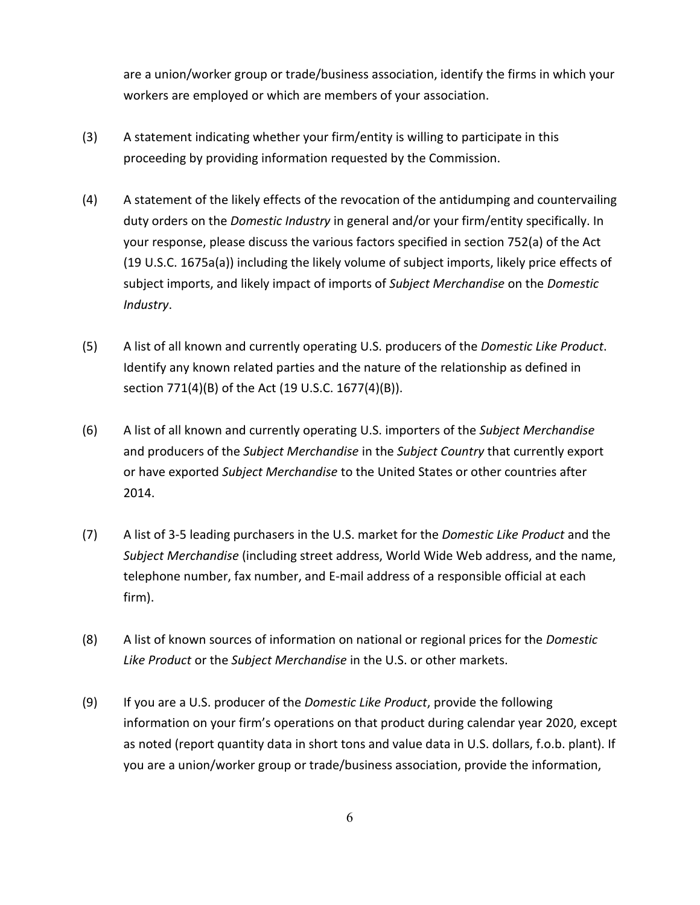are a union/worker group or trade/business association, identify the firms in which your workers are employed or which are members of your association.

- (3) A statement indicating whether your firm/entity is willing to participate in this proceeding by providing information requested by the Commission.
- (4) A statement of the likely effects of the revocation of the antidumping and countervailing duty orders on the *Domestic Industry* in general and/or your firm/entity specifically. In your response, please discuss the various factors specified in section 752(a) of the Act (19 U.S.C. 1675a(a)) including the likely volume of subject imports, likely price effects of subject imports, and likely impact of imports of *Subject Merchandise* on the *Domestic Industry*.
- (5) A list of all known and currently operating U.S. producers of the *Domestic Like Product*. Identify any known related parties and the nature of the relationship as defined in section 771(4)(B) of the Act (19 U.S.C. 1677(4)(B)).
- (6) A list of all known and currently operating U.S. importers of the *Subject Merchandise* and producers of the *Subject Merchandise* in the *Subject Country* that currently export or have exported *Subject Merchandise* to the United States or other countries after 2014.
- (7) A list of 3-5 leading purchasers in the U.S. market for the *Domestic Like Product* and the *Subject Merchandise* (including street address, World Wide Web address, and the name, telephone number, fax number, and E-mail address of a responsible official at each firm).
- (8) A list of known sources of information on national or regional prices for the *Domestic Like Product* or the *Subject Merchandise* in the U.S. or other markets.
- (9) If you are a U.S. producer of the *Domestic Like Product*, provide the following information on your firm's operations on that product during calendar year 2020, except as noted (report quantity data in short tons and value data in U.S. dollars, f.o.b. plant). If you are a union/worker group or trade/business association, provide the information,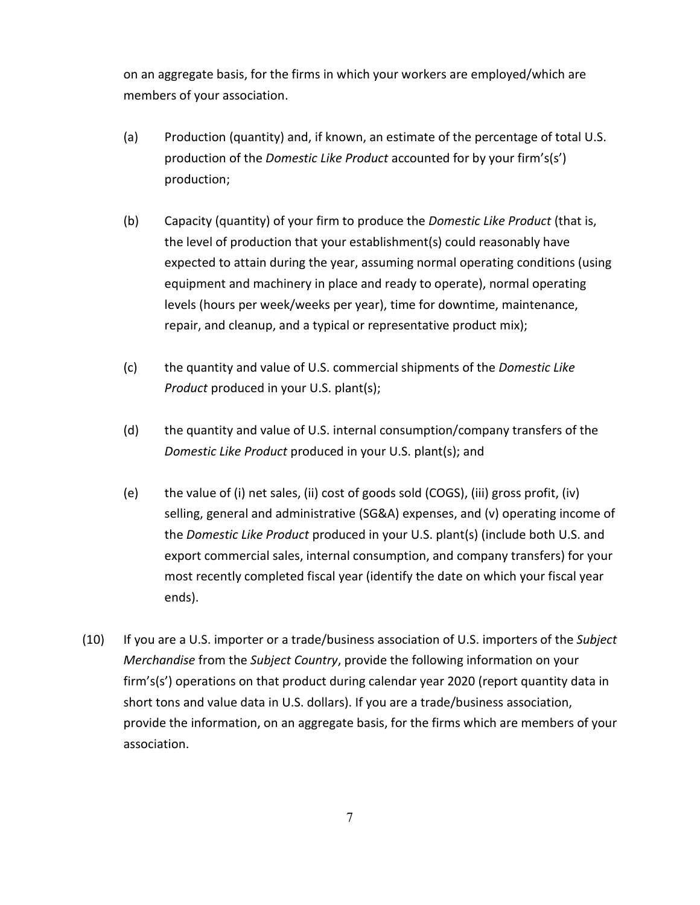on an aggregate basis, for the firms in which your workers are employed/which are members of your association.

- (a) Production (quantity) and, if known, an estimate of the percentage of total U.S. production of the *Domestic Like Product* accounted for by your firm's(s') production;
- (b) Capacity (quantity) of your firm to produce the *Domestic Like Product* (that is, the level of production that your establishment(s) could reasonably have expected to attain during the year, assuming normal operating conditions (using equipment and machinery in place and ready to operate), normal operating levels (hours per week/weeks per year), time for downtime, maintenance, repair, and cleanup, and a typical or representative product mix);
- (c) the quantity and value of U.S. commercial shipments of the *Domestic Like Product* produced in your U.S. plant(s);
- (d) the quantity and value of U.S. internal consumption/company transfers of the *Domestic Like Product* produced in your U.S. plant(s); and
- (e) the value of (i) net sales, (ii) cost of goods sold (COGS), (iii) gross profit, (iv) selling, general and administrative (SG&A) expenses, and (v) operating income of the *Domestic Like Product* produced in your U.S. plant(s) (include both U.S. and export commercial sales, internal consumption, and company transfers) for your most recently completed fiscal year (identify the date on which your fiscal year ends).
- (10) If you are a U.S. importer or a trade/business association of U.S. importers of the *Subject Merchandise* from the *Subject Country*, provide the following information on your firm's(s') operations on that product during calendar year 2020 (report quantity data in short tons and value data in U.S. dollars). If you are a trade/business association, provide the information, on an aggregate basis, for the firms which are members of your association.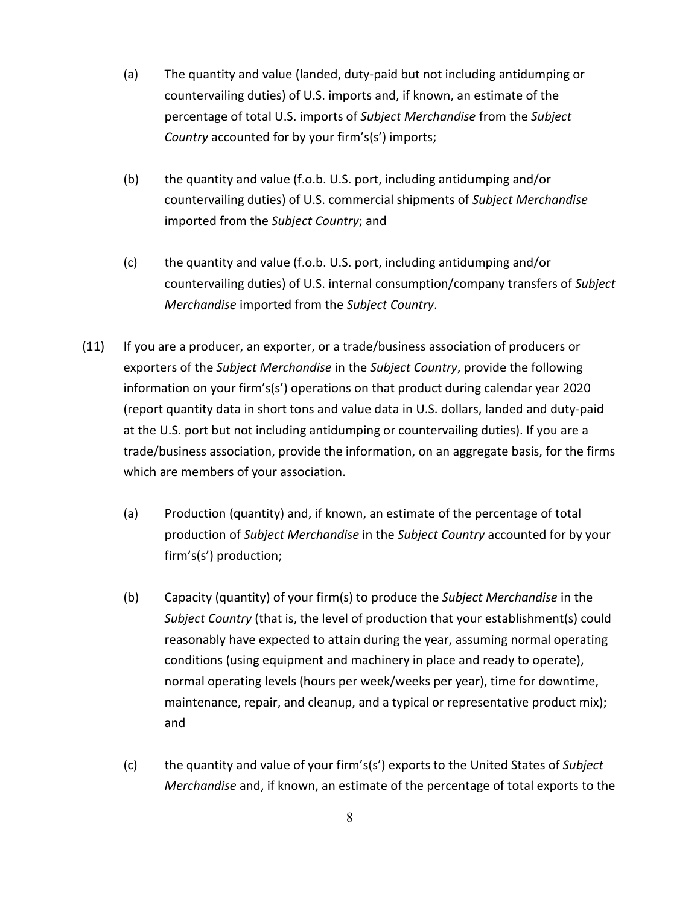- (a) The quantity and value (landed, duty-paid but not including antidumping or countervailing duties) of U.S. imports and, if known, an estimate of the percentage of total U.S. imports of *Subject Merchandise* from the *Subject Country* accounted for by your firm's(s') imports;
- (b) the quantity and value (f.o.b. U.S. port, including antidumping and/or countervailing duties) of U.S. commercial shipments of *Subject Merchandise* imported from the *Subject Country*; and
- (c) the quantity and value (f.o.b. U.S. port, including antidumping and/or countervailing duties) of U.S. internal consumption/company transfers of *Subject Merchandise* imported from the *Subject Country*.
- (11) If you are a producer, an exporter, or a trade/business association of producers or exporters of the *Subject Merchandise* in the *Subject Country*, provide the following information on your firm's(s') operations on that product during calendar year 2020 (report quantity data in short tons and value data in U.S. dollars, landed and duty-paid at the U.S. port but not including antidumping or countervailing duties). If you are a trade/business association, provide the information, on an aggregate basis, for the firms which are members of your association.
	- (a) Production (quantity) and, if known, an estimate of the percentage of total production of *Subject Merchandise* in the *Subject Country* accounted for by your firm's(s') production;
	- (b) Capacity (quantity) of your firm(s) to produce the *Subject Merchandise* in the *Subject Country* (that is, the level of production that your establishment(s) could reasonably have expected to attain during the year, assuming normal operating conditions (using equipment and machinery in place and ready to operate), normal operating levels (hours per week/weeks per year), time for downtime, maintenance, repair, and cleanup, and a typical or representative product mix); and
	- (c) the quantity and value of your firm's(s') exports to the United States of *Subject Merchandise* and, if known, an estimate of the percentage of total exports to the